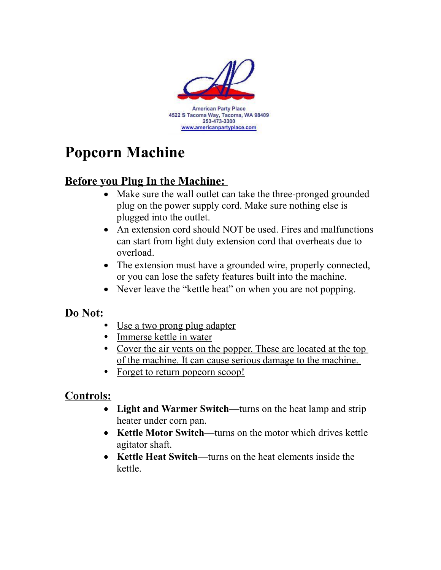

# **Popcorn Machine**

## **Before you Plug In the Machine:**

- Make sure the wall outlet can take the three-pronged grounded plug on the power supply cord. Make sure nothing else is plugged into the outlet.
- An extension cord should NOT be used. Fires and malfunctions can start from light duty extension cord that overheats due to overload.
- The extension must have a grounded wire, properly connected, or you can lose the safety features built into the machine.
- Never leave the "kettle heat" on when you are not popping.

### **Do Not:**

- Use a two prong plug adapter
- Immerse kettle in water
- Cover the air vents on the popper. These are located at the top of the machine. It can cause serious damage to the machine.
- Forget to return popcorn scoop!

### **Controls:**

- **Light and Warmer Switch**—turns on the heat lamp and strip heater under corn pan.
- Kettle Motor Switch—turns on the motor which drives kettle agitator shaft.
- **Kettle Heat Switch—turns on the heat elements inside the** kettle.